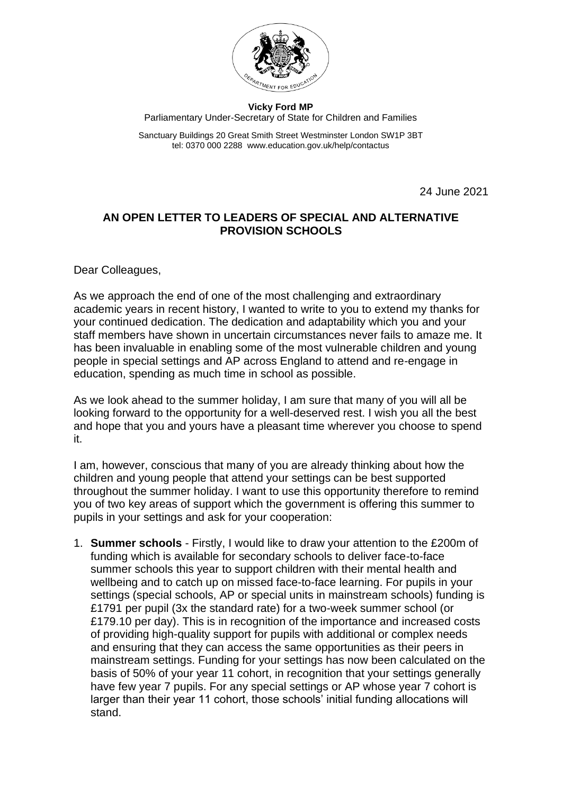

**Vicky Ford MP** Parliamentary Under-Secretary of State for Children and Families

Sanctuary Buildings 20 Great Smith Street Westminster London SW1P 3BT tel: 0370 000 2288 www.education.gov.uk/help/contactus

24 June 2021

## **AN OPEN LETTER TO LEADERS OF SPECIAL AND ALTERNATIVE PROVISION SCHOOLS**

Dear Colleagues,

As we approach the end of one of the most challenging and extraordinary academic years in recent history, I wanted to write to you to extend my thanks for your continued dedication. The dedication and adaptability which you and your staff members have shown in uncertain circumstances never fails to amaze me. It has been invaluable in enabling some of the most vulnerable children and young people in special settings and AP across England to attend and re-engage in education, spending as much time in school as possible.

As we look ahead to the summer holiday, I am sure that many of you will all be looking forward to the opportunity for a well-deserved rest. I wish you all the best and hope that you and yours have a pleasant time wherever you choose to spend it.

I am, however, conscious that many of you are already thinking about how the children and young people that attend your settings can be best supported throughout the summer holiday. I want to use this opportunity therefore to remind you of two key areas of support which the government is offering this summer to pupils in your settings and ask for your cooperation:

1. **Summer schools** - Firstly, I would like to draw your attention to the £200m of funding which is available for secondary schools to deliver face-to-face summer schools this year to support children with their mental health and wellbeing and to catch up on missed face-to-face learning. For pupils in your settings (special schools, AP or special units in mainstream schools) funding is £1791 per pupil (3x the standard rate) for a two-week summer school (or £179.10 per day). This is in recognition of the importance and increased costs of providing high-quality support for pupils with additional or complex needs and ensuring that they can access the same opportunities as their peers in mainstream settings. Funding for your settings has now been calculated on the basis of 50% of your year 11 cohort, in recognition that your settings generally have few year 7 pupils. For any special settings or AP whose year 7 cohort is larger than their year 11 cohort, those schools' initial funding allocations will stand.